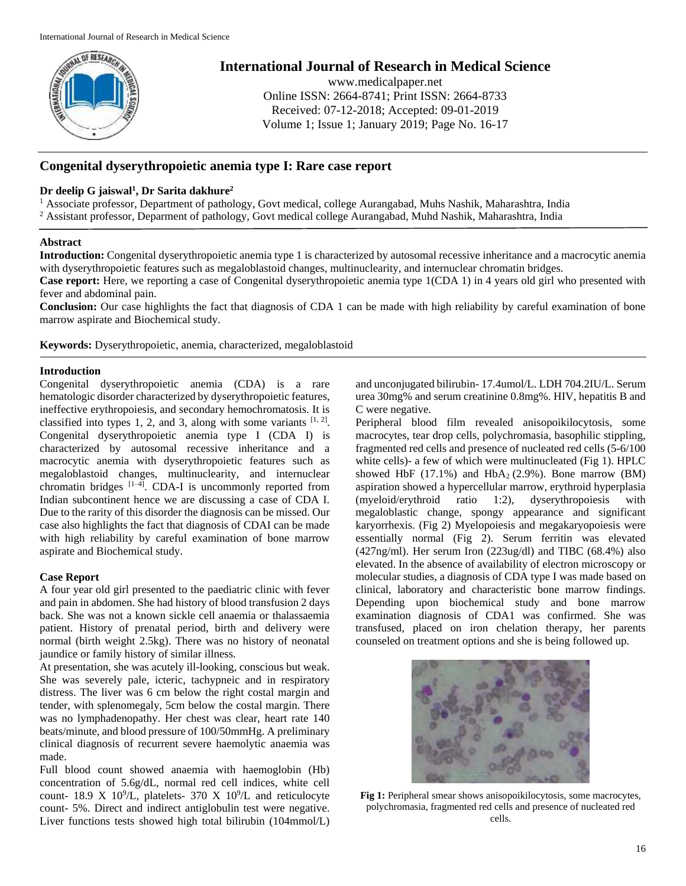

# **International Journal of Research in Medical Science**

www.medicalpaper.net Online ISSN: 2664-8741; Print ISSN: 2664-8733 Received: 07-12-2018; Accepted: 09-01-2019 Volume 1; Issue 1; January 2019; Page No. 16-17

# **Congenital dyserythropoietic anemia type I: Rare case report**

## **Dr deelip G jaiswal<sup>1</sup> , Dr Sarita dakhure<sup>2</sup>**

<sup>1</sup> Associate professor, Department of pathology, Govt medical, college Aurangabad, Muhs Nashik, Maharashtra, India <sup>2</sup> Assistant professor, Deparment of pathology, Govt medical college Aurangabad, Muhd Nashik, Maharashtra, India

## **Abstract**

**Introduction:** Congenital dyserythropoietic anemia type 1 is characterized by autosomal recessive inheritance and a macrocytic anemia with dyserythropoietic features such as megaloblastoid changes, multinuclearity, and internuclear chromatin bridges.

**Case report:** Here, we reporting a case of Congenital dyserythropoietic anemia type 1(CDA 1) in 4 years old girl who presented with fever and abdominal pain.

**Conclusion:** Our case highlights the fact that diagnosis of CDA 1 can be made with high reliability by careful examination of bone marrow aspirate and Biochemical study.

**Keywords:** Dyserythropoietic, anemia, characterized, megaloblastoid

# **Introduction**

Congenital dyserythropoietic anemia (CDA) is a rare hematologic disorder characterized by dyserythropoietic features, ineffective erythropoiesis, and secondary hemochromatosis. It is classified into types 1, 2, and 3, along with some variants  $[1, 2]$ . Congenital dyserythropoietic anemia type I (CDA I) is characterized by autosomal recessive inheritance and a macrocytic anemia with dyserythropoietic features such as megaloblastoid changes, multinuclearity, and internuclear chromatin bridges  $[1-4]$ . CDA-I is uncommonly reported from Indian subcontinent hence we are discussing a case of CDA I. Due to the rarity of this disorder the diagnosis can be missed. Our case also highlights the fact that diagnosis of CDAI can be made with high reliability by careful examination of bone marrow aspirate and Biochemical study.

## **Case Report**

A four year old girl presented to the paediatric clinic with fever and pain in abdomen. She had history of blood transfusion 2 days back. She was not a known sickle cell anaemia or thalassaemia patient. History of prenatal period, birth and delivery were normal (birth weight 2.5kg). There was no history of neonatal jaundice or family history of similar illness.

At presentation, she was acutely ill-looking, conscious but weak. She was severely pale, icteric, tachypneic and in respiratory distress. The liver was 6 cm below the right costal margin and tender, with splenomegaly, 5cm below the costal margin. There was no lymphadenopathy. Her chest was clear, heart rate 140 beats/minute, and blood pressure of 100/50mmHg. A preliminary clinical diagnosis of recurrent severe haemolytic anaemia was made.

Full blood count showed anaemia with haemoglobin (Hb) concentration of 5.6g/dL, normal red cell indices, white cell count- 18.9 X 10<sup>9</sup>/L, platelets- 370 X 10<sup>9</sup>/L and reticulocyte count- 5%. Direct and indirect antiglobulin test were negative. Liver functions tests showed high total bilirubin (104mmol/L)

and unconjugated bilirubin- 17.4umol/L. LDH 704.2IU/L. Serum urea 30mg% and serum creatinine 0.8mg%. HIV, hepatitis B and C were negative.

Peripheral blood film revealed anisopoikilocytosis, some macrocytes, tear drop cells, polychromasia, basophilic stippling, fragmented red cells and presence of nucleated red cells (5-6/100 white cells)- a few of which were multinucleated (Fig 1). HPLC showed HbF  $(17.1\%)$  and HbA<sub>2</sub>  $(2.9\%)$ . Bone marrow  $(BM)$ aspiration showed a hypercellular marrow, erythroid hyperplasia (myeloid/erythroid ratio 1:2), dyserythropoiesis with megaloblastic change, spongy appearance and significant karyorrhexis. (Fig 2) Myelopoiesis and megakaryopoiesis were essentially normal (Fig 2). Serum ferritin was elevated (427ng/ml). Her serum Iron (223ug/dl) and TIBC (68.4%) also elevated. In the absence of availability of electron microscopy or molecular studies, a diagnosis of CDA type I was made based on clinical, laboratory and characteristic bone marrow findings. Depending upon biochemical study and bone marrow examination diagnosis of CDA1 was confirmed. She was transfused, placed on iron chelation therapy, her parents counseled on treatment options and she is being followed up.



**Fig 1:** Peripheral smear shows anisopoikilocytosis, some macrocytes, polychromasia, fragmented red cells and presence of nucleated red cells.